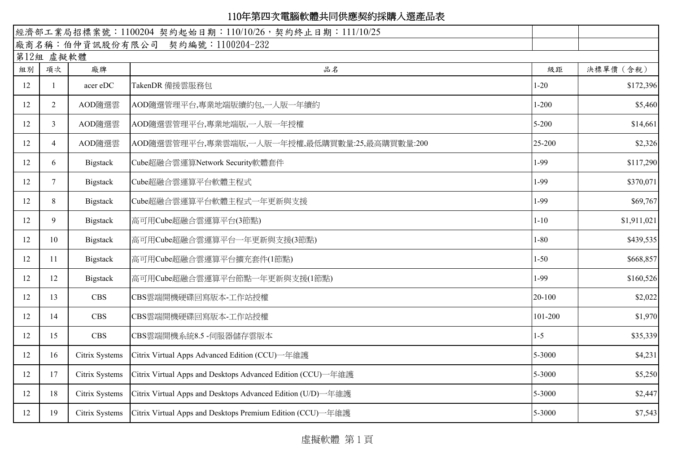|    |                |                 | 經濟部工業局招標案號: 1100204 契約起始日期: 110/10/26, 契約終止日期: 111/10/25     |           |             |
|----|----------------|-----------------|--------------------------------------------------------------|-----------|-------------|
|    |                |                 | 廠商名稱:伯仲資訊股份有限公司 契約編號:1100204-232                             |           |             |
|    | 第12組 虛擬軟體      |                 |                                                              |           |             |
| 組別 | 項次             | 廠牌              | 品名                                                           | 級距        | 決標單價 (含稅)   |
| 12 |                | acer eDC        | TakenDR 備援雲服務包                                               | $1 - 20$  | \$172,396   |
| 12 | $\overline{2}$ | AOD隨選雲          | AOD隨選管理平台,專業地端版續約包,一人版一年續約                                   | $1 - 200$ | \$5,460     |
| 12 | 3 <sup>1</sup> | AOD隨選雲          | AOD隨選雲管理平台,專業地端版,一人版一年授權                                     | $5 - 200$ | \$14,661    |
| 12 | 4              | AOD隨選雲          | AOD隨選雲管理平台,專業雲端版,一人版一年授權,最低購買數量:25,最高購買數量:200                | 25-200    | \$2,326     |
| 12 | 6              | Bigstack        | Cube超融合雲運算Network Security軟體套件                               | 1-99      | \$117,290   |
| 12 | 7              | Bigstack        | Cube超融合雲運算平台軟體主程式                                            | 1-99      | \$370,071   |
| 12 | 8              | Bigstack        | Cube超融合雲運算平台軟體主程式一年更新與支援                                     | $1-99$    | \$69,767    |
| 12 | 9              | Bigstack        | 高可用Cube超融合雲運算平台(3節點)                                         | $1 - 10$  | \$1,911,021 |
| 12 | 10             | <b>Bigstack</b> | 高可用Cube超融合雲運算平台一年更新與支援(3節點)                                  | $1 - 80$  | \$439,535   |
| 12 | 11             | <b>Bigstack</b> | 高可用Cube超融合雲運算平台擴充套件(1節點)                                     | $1 - 50$  | \$668,857   |
| 12 | 12             | Bigstack        | 高可用Cube超融合雲運算平台節點一年更新與支援(1節點)                                | 1-99      | \$160,526   |
| 12 | 13             | <b>CBS</b>      | CBS雲端開機硬碟回寫版本-工作站授權                                          | 20-100    | \$2,022     |
| 12 | 14             | <b>CBS</b>      | CBS雲端開機硬碟回寫版本-工作站授權                                          | 101-200   | \$1,970     |
| 12 | 15             | <b>CBS</b>      | CBS雲端開機系統8.5 -伺服器儲存雲版本                                       | $1-5$     | \$35,339    |
| 12 | 16             | Citrix Systems  | Citrix Virtual Apps Advanced Edition (CCU)一年維護               | 5-3000    | \$4,231     |
| 12 | 17             | Citrix Systems  | Citrix Virtual Apps and Desktops Advanced Edition (CCU)–年維護  | 5-3000    | \$5,250     |
| 12 | 18             | Citrix Systems  | Citrix Virtual Apps and Desktops Advanced Edition (U/D) 一年維護 | 5-3000    | \$2,447     |
| 12 | 19             | Citrix Systems  | Citrix Virtual Apps and Desktops Premium Edition (CCU)一年維護   | 5-3000    | \$7,543     |

虛擬軟體 第 1 頁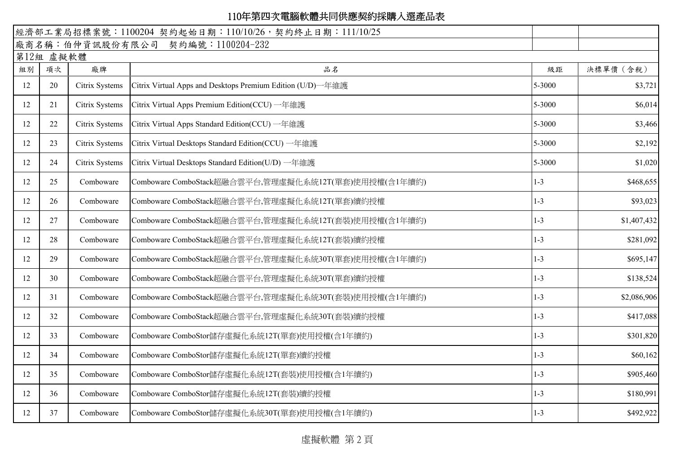|    |           |                | 經濟部工業局招標案號: 1100204 契約起始日期: 110/10/26, 契約終止日期: 111/10/25    |         |             |
|----|-----------|----------------|-------------------------------------------------------------|---------|-------------|
|    |           |                | 廠商名稱:伯仲資訊股份有限公司 契約編號:1100204-232                            |         |             |
|    | 第12組 虛擬軟體 |                |                                                             |         |             |
| 組別 | 項次        | 廠牌             | 品名                                                          | 級距      | 決標單價 (含稅)   |
| 12 | 20        | Citrix Systems | Citrix Virtual Apps and Desktops Premium Edition (U/D) 一年維護 | 5-3000  | \$3,721     |
| 12 | 21        | Citrix Systems | Citrix Virtual Apps Premium Edition(CCU) 一年維護               | 5-3000  | \$6,014     |
| 12 | 22        | Citrix Systems | Citrix Virtual Apps Standard Edition(CCU) 一年維護              | 5-3000  | \$3,466     |
| 12 | 23        | Citrix Systems | Citrix Virtual Desktops Standard Edition(CCU) 一年維護          | 5-3000  | \$2,192     |
| 12 | 24        | Citrix Systems | Citrix Virtual Desktops Standard Edition(U/D) 一年維護          | 5-3000  | \$1,020     |
| 12 | 25        | Comboware      | Comboware ComboStack超融合雲平台,管理虛擬化系統12T(單套)使用授權(含1年續約)        | $1 - 3$ | \$468,655   |
| 12 | 26        | Comboware      | Comboware ComboStack超融合雲平台,管理虛擬化系統12T(單套)續約授權               | $1 - 3$ | \$93,023    |
| 12 | 27        | Comboware      | Comboware ComboStack超融合雲平台,管理虛擬化系統12T(套裝)使用授權(含1年續約)        | $1-3$   | \$1,407,432 |
| 12 | 28        | Comboware      | Comboware ComboStack超融合雲平台,管理虛擬化系統12T(套裝)續約授權               | $1 - 3$ | \$281,092   |
| 12 | 29        | Comboware      | Comboware ComboStack超融合雲平台,管理虛擬化系統30T(單套)使用授權(含1年續約)        | $1 - 3$ | \$695,147   |
| 12 | 30        | Comboware      | Comboware ComboStack超融合雲平台,管理虛擬化系統30T(單套)續約授權               | $1 - 3$ | \$138,524   |
| 12 | 31        | Comboware      | Comboware ComboStack超融合雲平台,管理虛擬化系統30T(套裝)使用授權(含1年續約)        | $1 - 3$ | \$2,086,906 |
| 12 | 32        | Comboware      | Comboware ComboStack超融合雲平台,管理虛擬化系統30T(套裝)續約授權               | $1 - 3$ | \$417,088   |
| 12 | 33        | Comboware      | Comboware ComboStor儲存虛擬化系統12T(單套)使用授權(含1年續約)                | $1 - 3$ | \$301,820   |
| 12 | 34        | Comboware      | Comboware ComboStor儲存虛擬化系統12T(單套)續約授權                       | $1 - 3$ | \$60,162    |
| 12 | 35        | Comboware      | Comboware ComboStor儲存虛擬化系統12T(套裝)使用授權(含1年續約)                | $1 - 3$ | \$905,460   |
| 12 | 36        | Comboware      | Comboware ComboStor儲存虛擬化系統12T(套裝)續約授權                       | $1 - 3$ | \$180,991   |
| 12 | 37        | Comboware      | Comboware ComboStor儲存虛擬化系統30T(單套)使用授權(含1年續約)                | $1 - 3$ | \$492,922   |

虛擬軟體 第 2 頁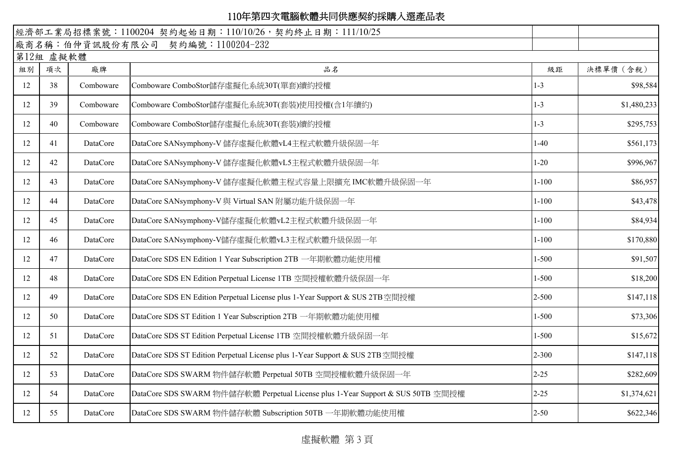|    |           |           | 經濟部工業局招標案號: 1100204 契約起始日期: 110/10/26, 契約終止日期: 111/10/25                        |           |             |
|----|-----------|-----------|---------------------------------------------------------------------------------|-----------|-------------|
|    |           |           | 廠商名稱:伯仲資訊股份有限公司 契約編號:1100204-232                                                |           |             |
|    | 第12組 虛擬軟體 |           |                                                                                 |           |             |
| 組別 | 項次        | 廠牌        | 品名                                                                              | 級距        | 決標單價 (含稅)   |
| 12 | 38        | Comboware | Comboware ComboStor儲存虛擬化系統30T(單套)續約授權                                           | $1 - 3$   | \$98,584    |
| 12 | 39        | Comboware | Comboware ComboStor儲存虛擬化系統30T(套裝)使用授權(含1年續約)                                    | $1 - 3$   | \$1,480,233 |
| 12 | 40        | Comboware | Comboware ComboStor儲存虛擬化系統30T(套裝)續約授權                                           | $1 - 3$   | \$295,753   |
| 12 | 41        | DataCore  | DataCore SANsymphony-V 儲存虛擬化軟體vL4主程式軟體升級保固一年                                    | $1-40$    | \$561,173   |
| 12 | 42        | DataCore  | DataCore SANsymphony-V 儲存虛擬化軟體vL5主程式軟體升級保固一年                                    | $1 - 20$  | \$996,967   |
| 12 | 43        | DataCore  | DataCore SANsymphony-V 儲存虛擬化軟體主程式容量上限擴充 IMC軟體升級保固一年                             | $1 - 100$ | \$86,957    |
| 12 | 44        | DataCore  | DataCore SANsymphony-V 與 Virtual SAN 附屬功能升級保固一年                                 | $1 - 100$ | \$43,478    |
| 12 | 45        | DataCore  | DataCore SANsymphony-V儲存虛擬化軟體vL2主程式軟體升級保固一年                                     | $1 - 100$ | \$84,934    |
| 12 | 46        | DataCore  | DataCore SANsymphony-V儲存虛擬化軟體vL3主程式軟體升級保固一年                                     | $1 - 100$ | \$170,880   |
| 12 | 47        | DataCore  | DataCore SDS EN Edition 1 Year Subscription 2TB 一年期軟體功能使用權                      | $1 - 500$ | \$91,507    |
| 12 | 48        | DataCore  | DataCore SDS EN Edition Perpetual License 1TB 空間授權軟體升級保固一年                      | $1 - 500$ | \$18,200    |
| 12 | 49        | DataCore  | DataCore SDS EN Edition Perpetual License plus 1-Year Support & SUS 2TB 空間授權    | $2 - 500$ | \$147,118   |
| 12 | 50        | DataCore  | DataCore SDS ST Edition 1 Year Subscription 2TB 一年期軟體功能使用權                      | $1 - 500$ | \$73,306    |
| 12 | 51        | DataCore  | DataCore SDS ST Edition Perpetual License 1TB 空間授權軟體升級保固一年                      | $1 - 500$ | \$15,672    |
| 12 | 52        | DataCore  | DataCore SDS ST Edition Perpetual License plus 1-Year Support & SUS 2TB 空間授權    | $2 - 300$ | \$147,118   |
| 12 | 53        | DataCore  | DataCore SDS SWARM 物件儲存軟體 Perpetual 50TB 空間授權軟體升級保固一年                           | $2 - 25$  | \$282,609   |
| 12 | 54        | DataCore  | DataCore SDS SWARM 物件儲存軟體 Perpetual License plus 1-Year Support & SUS 50TB 空間授權 | $2 - 25$  | \$1,374,621 |
| 12 | 55        | DataCore  | DataCore SDS SWARM 物件儲存軟體 Subscription 50TB 一年期軟體功能使用權                          | $2 - 50$  | \$622,346   |

虛擬軟體 第 3 頁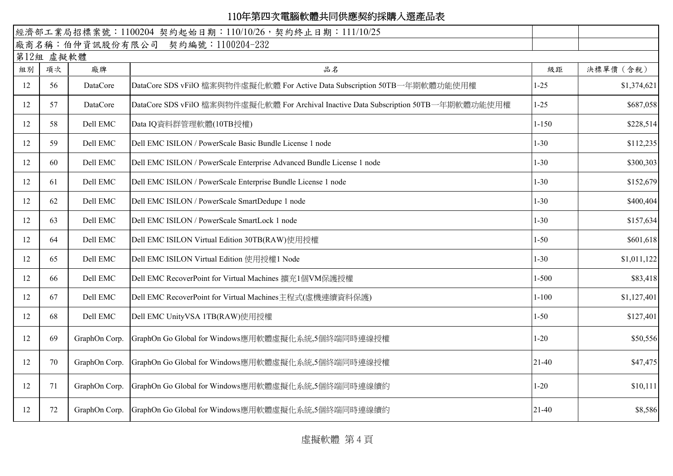| 經濟部工業局招標案號: 1100204 契約起始日期: 110/10/26, 契約終止日期: 111/10/25 |           |               |                                                                                      |           |             |
|----------------------------------------------------------|-----------|---------------|--------------------------------------------------------------------------------------|-----------|-------------|
|                                                          |           |               | 廠商名稱:伯仲資訊股份有限公司 契約編號:1100204-232                                                     |           |             |
|                                                          | 第12組 虛擬軟體 |               |                                                                                      |           |             |
| 組別                                                       | 項次        | 廠牌            | 品名                                                                                   | 級距        | 決標單價 (含稅)   |
| 12                                                       | 56        | DataCore      | DataCore SDS vFilO 檔案與物件虛擬化軟體 For Active Data Subscription 50TB一年期軟體功能使用權            | $1 - 25$  | \$1,374,621 |
| 12                                                       | 57        | DataCore      | DataCore SDS vFilO 檔案與物件虛擬化軟體 For Archival Inactive Data Subscription 50TB一年期軟體功能使用權 | $1-25$    | \$687,058   |
| 12                                                       | 58        | Dell EMC      | Data IQ資料群管理軟體(10TB授權)                                                               | $1 - 150$ | \$228,514   |
| 12                                                       | 59        | Dell EMC      | Dell EMC ISILON / PowerScale Basic Bundle License 1 node                             | $1 - 30$  | \$112,235   |
| 12                                                       | 60        | Dell EMC      | Dell EMC ISILON / PowerScale Enterprise Advanced Bundle License 1 node               | $1 - 30$  | \$300,303   |
| 12                                                       | 61        | Dell EMC      | Dell EMC ISILON / PowerScale Enterprise Bundle License 1 node                        | $1 - 30$  | \$152,679   |
| 12                                                       | 62        | Dell EMC      | Dell EMC ISILON / PowerScale SmartDedupe 1 node                                      | $1 - 30$  | \$400,404   |
| 12                                                       | 63        | Dell EMC      | Dell EMC ISILON / PowerScale SmartLock 1 node                                        | $1 - 30$  | \$157,634   |
| 12                                                       | 64        | Dell EMC      | Dell EMC ISILON Virtual Edition 30TB(RAW)使用授權                                        | $1 - 50$  | \$601,618   |
| 12                                                       | 65        | Dell EMC      | Dell EMC ISILON Virtual Edition 使用授權1 Node                                           | $1 - 30$  | \$1,011,122 |
| 12                                                       | 66        | Dell EMC      | Dell EMC RecoverPoint for Virtual Machines 擴充1個VM保護授權                                | $1 - 500$ | \$83,418    |
| 12                                                       | 67        | Dell EMC      | Dell EMC RecoverPoint for Virtual Machines主程式(虛機連續資料保護)                              | $1 - 100$ | \$1,127,401 |
| 12                                                       | 68        | Dell EMC      | Dell EMC UnityVSA 1TB(RAW)使用授權                                                       | $1 - 50$  | \$127,401   |
| 12                                                       | 69        | GraphOn Corp. | GraphOn Go Global for Windows應用軟體虛擬化系統,5個終端同時連線授權                                    | $1 - 20$  | \$50,556    |
| 12                                                       | 70        | GraphOn Corp. | GraphOn Go Global for Windows應用軟體虛擬化系統,5個終端同時連線授權                                    | $21 - 40$ | \$47,475    |
| 12                                                       | 71        | GraphOn Corp. | GraphOn Go Global for Windows應用軟體虛擬化系統,5個終端同時連線續約                                    | $1 - 20$  | \$10,111    |
| 12                                                       | 72        | GraphOn Corp. | GraphOn Go Global for Windows應用軟體虛擬化系統,5個終端同時連線續約                                    | $21 - 40$ | \$8,586     |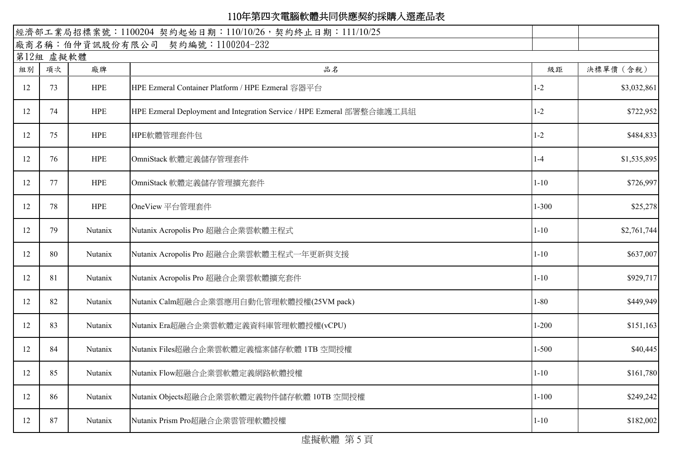|    |           |                | 經濟部工業局招標案號: 1100204 契約起始日期: 110/10/26, 契約終止日期: 111/10/25               |           |             |
|----|-----------|----------------|------------------------------------------------------------------------|-----------|-------------|
|    |           |                | 廠商名稱:伯仲資訊股份有限公司 契約編號:1100204-232                                       |           |             |
|    | 第12組 虛擬軟體 |                |                                                                        |           |             |
| 組別 | 項次        | 廠牌             | 品名                                                                     | 級距        | 決標單價 (含稅)   |
| 12 | 73        | <b>HPE</b>     | HPE Ezmeral Container Platform / HPE Ezmeral 容器平台                      | $1 - 2$   | \$3,032,861 |
| 12 | 74        | <b>HPE</b>     | HPE Ezmeral Deployment and Integration Service / HPE Ezmeral 部署整合維護工具組 | $1 - 2$   | \$722,952   |
| 12 | 75        | <b>HPE</b>     | HPE軟體管理套件包                                                             | $1-2$     | \$484,833   |
| 12 | 76        | <b>HPE</b>     | OmniStack 軟體定義儲存管理套件                                                   | $1-4$     | \$1,535,895 |
| 12 | 77        | <b>HPE</b>     | OmniStack 軟體定義儲存管理擴充套件                                                 | $1 - 10$  | \$726,997   |
| 12 | 78        | <b>HPE</b>     | OneView 平台管理套件                                                         | $1 - 300$ | \$25,278    |
| 12 | 79        | Nutanix        | Nutanix Acropolis Pro 超融合企業雲軟體主程式                                      | $1 - 10$  | \$2,761,744 |
| 12 | 80        | Nutanix        | Nutanix Acropolis Pro 超融合企業雲軟體主程式一年更新與支援                               | $1 - 10$  | \$637,007   |
| 12 | 81        | Nutanix        | Nutanix Acropolis Pro 超融合企業雲軟體擴充套件                                     | $1 - 10$  | \$929,717   |
| 12 | 82        | Nutanix        | Nutanix Calm超融合企業雲應用自動化管理軟體授權(25VM pack)                               | $1 - 80$  | \$449,949   |
| 12 | 83        | Nutanix        | Nutanix Era超融合企業雲軟體定義資料庫管理軟體授權(vCPU)                                   | $1 - 200$ | \$151,163   |
| 12 | 84        | Nutanix        | Nutanix Files超融合企業雲軟體定義檔案儲存軟體 ITB 空間授權                                 | $1 - 500$ | \$40,445    |
| 12 | 85        | <b>Nutanix</b> | Nutanix Flow超融合企業雲軟體定義網路軟體授權                                           | $1 - 10$  | \$161,780   |
| 12 | 86        | Nutanix        | Nutanix Objects超融合企業雲軟體定義物件儲存軟體 10TB 空間授權                              | $1 - 100$ | \$249,242   |
| 12 | 87        | Nutanix        | Nutanix Prism Pro超融合企業雲管理軟體授權                                          | $1 - 10$  | \$182,002   |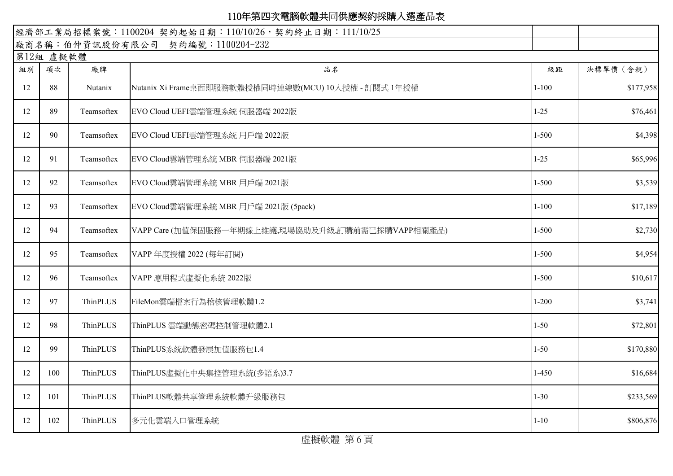|    |           |            | 經濟部工業局招標案號: 1100204 契約起始日期: 110/10/26, 契約終止日期: 111/10/25 |           |           |  |  |  |  |
|----|-----------|------------|----------------------------------------------------------|-----------|-----------|--|--|--|--|
|    |           |            | 廠商名稱:伯仲資訊股份有限公司 契約編號:1100204-232                         |           |           |  |  |  |  |
|    | 第12組 虛擬軟體 |            |                                                          |           |           |  |  |  |  |
| 組別 | 項次        | 廠牌         | 品名                                                       | 級距        | 決標單價 (含稅) |  |  |  |  |
| 12 | 88        | Nutanix    | Nutanix Xi Frame桌面即服務軟體授權同時連線數(MCU) 10人授權 - 訂閱式 1年授權     | $1 - 100$ | \$177,958 |  |  |  |  |
| 12 | 89        | Teamsoftex | EVO Cloud UEFI雲端管理系統 伺服器端 2022版                          | $1 - 25$  | \$76,461  |  |  |  |  |
| 12 | 90        | Teamsoftex | EVO Cloud UEFI雲端管理系統 用戶端 2022版                           | $1 - 500$ | \$4,398   |  |  |  |  |
| 12 | 91        | Teamsoftex | EVO Cloud雲端管理系統 MBR 伺服器端 2021版                           | $1 - 25$  | \$65,996  |  |  |  |  |
| 12 | 92        | Teamsoftex | EVO Cloud雲端管理系統 MBR 用戶端 2021版                            | $1 - 500$ | \$3,539   |  |  |  |  |
| 12 | 93        | Teamsoftex | EVO Cloud雲端管理系統 MBR 用戶端 2021版 (5pack)                    | $1 - 100$ | \$17,189  |  |  |  |  |
| 12 | 94        | Teamsoftex | VAPP Care (加值保固服務一年期線上維護,現場協助及升級,訂購前需已採購VAPP相關產品)        | $1 - 500$ | \$2,730   |  |  |  |  |
| 12 | 95        | Teamsoftex | VAPP 年度授權 2022 (每年訂閱)                                    | $1 - 500$ | \$4,954   |  |  |  |  |
| 12 | 96        | Teamsoftex | VAPP 應用程式虛擬化系統 2022版                                     | $1 - 500$ | \$10,617  |  |  |  |  |
| 12 | 97        | ThinPLUS   | FileMon雲端檔案行為稽核管理軟體1.2                                   | $1 - 200$ | \$3,741   |  |  |  |  |
| 12 | 98        | ThinPLUS   | ThinPLUS 雲端動態密碼控制管理軟體2.1                                 | $1 - 50$  | \$72,801  |  |  |  |  |
| 12 | 99        | ThinPLUS   | ThinPLUS系統軟體發展加值服務包1.4                                   | $1 - 50$  | \$170,880 |  |  |  |  |
| 12 | 100       | ThinPLUS   | ThinPLUS虛擬化中央集控管理系統(多語系)3.7                              | $1-450$   | \$16,684  |  |  |  |  |
| 12 | 101       | ThinPLUS   | ThinPLUS軟體共享管理系統軟體升級服務包                                  | $1 - 30$  | \$233,569 |  |  |  |  |
| 12 | 102       | ThinPLUS   | 多元化雲端入口管理系統                                              | $1 - 10$  | \$806,876 |  |  |  |  |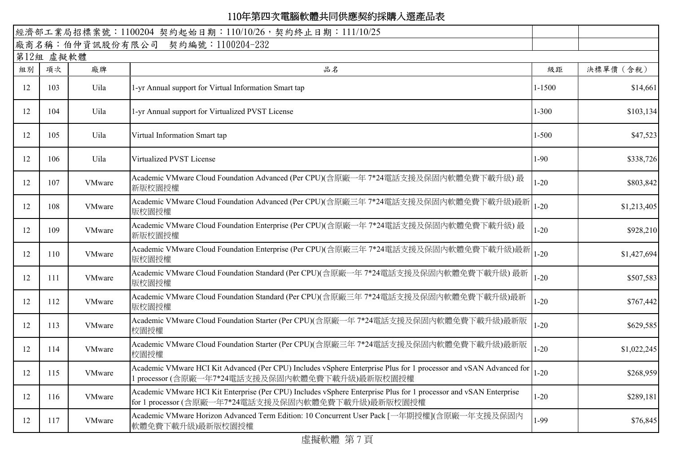|    |           |               | 經濟部工業局招標案號: 1100204 契約起始日期: 110/10/26, 契約終止日期: 111/10/25                                                                                                                |            |             |
|----|-----------|---------------|-------------------------------------------------------------------------------------------------------------------------------------------------------------------------|------------|-------------|
|    |           |               | 廠商名稱:伯仲資訊股份有限公司 契約編號:1100204-232                                                                                                                                        |            |             |
|    | 第12組 虛擬軟體 |               |                                                                                                                                                                         |            |             |
| 組別 | 項次        | 廠牌            | 品名                                                                                                                                                                      | 級距         | 決標單價 (含稅)   |
| 12 | 103       | Uila          | 1-yr Annual support for Virtual Information Smart tap                                                                                                                   | $1 - 1500$ | \$14,661    |
| 12 | 104       | Uila          | 1-yr Annual support for Virtualized PVST License                                                                                                                        | $1 - 300$  | \$103,134   |
| 12 | 105       | Uila          | Virtual Information Smart tap                                                                                                                                           | 1-500      | \$47,523    |
| 12 | 106       | Uila          | Virtualized PVST License                                                                                                                                                | $1 - 90$   | \$338,726   |
| 12 | 107       | VMware        | Academic VMware Cloud Foundation Advanced (Per CPU)(含原廠一年 7*24電話支援及保固內軟體免費下載升級) 最<br>新版校園授權                                                                             | $1 - 20$   | \$803,842   |
| 12 | 108       | <b>VMware</b> | Academic VMware Cloud Foundation Advanced (Per CPU)(含原廠三年 7*24電話支援及保固内軟體免費下載升級)最新<br>版校園授權                                                                              | $1 - 20$   | \$1,213,405 |
| 12 | 109       | VMware        | Academic VMware Cloud Foundation Enterprise (Per CPU)(含原廠一年 7*24電話支援及保固内軟體免費下載升級) 最<br>新版校園授權                                                                           | $1 - 20$   | \$928,210   |
| 12 | 110       | VMware        | Academic VMware Cloud Foundation Enterprise (Per CPU)(含原廠三年 7*24電話支援及保固内軟體免費下載升級)最新<br>版校園授權                                                                            | $1 - 20$   | \$1,427,694 |
| 12 | 111       | <b>VMware</b> | Academic VMware Cloud Foundation Standard (Per CPU)(含原廠一年 7*24電話支援及保固內軟體免費下載升級) 最新<br>版校園授權                                                                             | $1 - 20$   | \$507,583   |
| 12 | 112       | VMware        | Academic VMware Cloud Foundation Standard (Per CPU)(含原廠三年 7*24電話支援及保固内軟體免費下載升級)最新<br>版校園授權                                                                              | $1 - 20$   | \$767,442   |
| 12 | 113       | VMware        | Academic VMware Cloud Foundation Starter (Per CPU)(含原廠一年 7*24電話支援及保固内軟體免費下載升級)最新版<br>校園授權                                                                               | $1 - 20$   | \$629,585   |
| 12 | 114       | <b>VMware</b> | Academic VMware Cloud Foundation Starter (Per CPU)(含原廠三年 7*24電話支援及保固內軟體免費下載升級)最新版<br>校園授權                                                                               | $1 - 20$   | \$1,022,245 |
| 12 | 115       | VMware        | Academic VMware HCI Kit Advanced (Per CPU) Includes vSphere Enterprise Plus for 1 processor and vSAN Advanced for<br>1 processor (含原廠一年7*24電話支援及保固內軟體免費下載升級)最新版校園授權     | $1 - 20$   | \$268,959   |
| 12 | 116       | VMware        | Academic VMware HCI Kit Enterprise (Per CPU) Includes vSphere Enterprise Plus for 1 processor and vSAN Enterprise<br>for 1 processor (含原廠一年7*24電話支援及保固內軟體免費下載升級)最新版校園授權 | $1 - 20$   | \$289,181   |
| 12 | 117       | <b>VMware</b> | Academic VMware Horizon Advanced Term Edition: 10 Concurrent User Pack [一年期授權](含原廠一年支援及保固內<br>軟體免費下載升級)最新版校園授權                                                          | 1-99       | \$76,845    |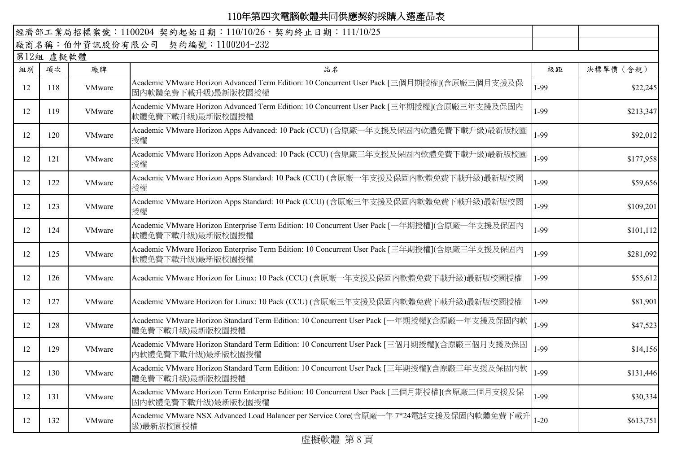| 廠商名稱:伯仲資訊股份有限公司 契約編號:1100204-232<br>第12組 虛擬軟體<br>組別<br>項次<br>廠牌<br>品名<br>級距<br>Academic VMware Horizon Advanced Term Edition: 10 Concurrent User Pack [三個月期授權](含原廠三個月支援及保<br>1-99<br>12<br>118<br><b>VMware</b><br>固内軟體免費下載升級)最新版校園授權<br>Academic VMware Horizon Advanced Term Edition: 10 Concurrent User Pack [三年期授權](含原廠三年支援及保固内<br>1-99<br>119<br>VMware<br>12<br>軟體免費下載升級)最新版校園授權<br>Academic VMware Horizon Apps Advanced: 10 Pack (CCU) (含原廠一年支援及保固内軟體免費下載升級)最新版校園<br>1-99<br>12<br>120<br><b>VMware</b><br>授權<br>Academic VMware Horizon Apps Advanced: 10 Pack (CCU) (含原廠三年支援及保固内軟體免費下載升級)最新版校園<br>1-99<br>12<br>121<br><b>VMware</b><br>授權<br>Academic VMware Horizon Apps Standard: 10 Pack (CCU) (含原廠一年支援及保固內軟體免費下載升級)最新版校園<br>1-99<br>12<br>122<br>VMware<br>授權<br>Academic VMware Horizon Apps Standard: 10 Pack (CCU) (含原廠三年支援及保固內軟體免費下載升級)最新版校園<br>1-99<br>123<br>VMware<br>12<br>授權<br>Academic VMware Horizon Enterprise Term Edition: 10 Concurrent User Pack [一年期授權](含原廠一年支援及保固内<br>1-99<br>12<br>124<br><b>VMware</b><br>軟體免費下載升級)最新版校園授權<br>Academic VMware Horizon Enterprise Term Edition: 10 Concurrent User Pack [三年期授權](含原廠三年支援及保固內<br>1-99<br>12<br>125<br>VMware<br>軟體免費下載升級)最新版校園授權<br>1-99<br>12<br>126<br><b>VMware</b><br>Academic VMware Horizon for Linux: 10 Pack (CCU) (含原廠一年支援及保固内軟體免費下載升級)最新版校園授權<br>Academic VMware Horizon for Linux: 10 Pack (CCU) (含原廠三年支援及保固内軟體免費下載升級)最新版校園授權<br>1-99<br>12<br>127<br><b>VMware</b> | 決標單價 (含稅)<br>\$22,245<br>\$213,347<br>\$92,012<br>\$177,958<br>\$59,656<br>\$109,201 |
|-----------------------------------------------------------------------------------------------------------------------------------------------------------------------------------------------------------------------------------------------------------------------------------------------------------------------------------------------------------------------------------------------------------------------------------------------------------------------------------------------------------------------------------------------------------------------------------------------------------------------------------------------------------------------------------------------------------------------------------------------------------------------------------------------------------------------------------------------------------------------------------------------------------------------------------------------------------------------------------------------------------------------------------------------------------------------------------------------------------------------------------------------------------------------------------------------------------------------------------------------------------------------------------------------------------------------------------------------------------------------------------------------------------------------------------------------------------------|--------------------------------------------------------------------------------------|
|                                                                                                                                                                                                                                                                                                                                                                                                                                                                                                                                                                                                                                                                                                                                                                                                                                                                                                                                                                                                                                                                                                                                                                                                                                                                                                                                                                                                                                                                 |                                                                                      |
|                                                                                                                                                                                                                                                                                                                                                                                                                                                                                                                                                                                                                                                                                                                                                                                                                                                                                                                                                                                                                                                                                                                                                                                                                                                                                                                                                                                                                                                                 |                                                                                      |
|                                                                                                                                                                                                                                                                                                                                                                                                                                                                                                                                                                                                                                                                                                                                                                                                                                                                                                                                                                                                                                                                                                                                                                                                                                                                                                                                                                                                                                                                 |                                                                                      |
|                                                                                                                                                                                                                                                                                                                                                                                                                                                                                                                                                                                                                                                                                                                                                                                                                                                                                                                                                                                                                                                                                                                                                                                                                                                                                                                                                                                                                                                                 |                                                                                      |
|                                                                                                                                                                                                                                                                                                                                                                                                                                                                                                                                                                                                                                                                                                                                                                                                                                                                                                                                                                                                                                                                                                                                                                                                                                                                                                                                                                                                                                                                 |                                                                                      |
|                                                                                                                                                                                                                                                                                                                                                                                                                                                                                                                                                                                                                                                                                                                                                                                                                                                                                                                                                                                                                                                                                                                                                                                                                                                                                                                                                                                                                                                                 |                                                                                      |
|                                                                                                                                                                                                                                                                                                                                                                                                                                                                                                                                                                                                                                                                                                                                                                                                                                                                                                                                                                                                                                                                                                                                                                                                                                                                                                                                                                                                                                                                 |                                                                                      |
|                                                                                                                                                                                                                                                                                                                                                                                                                                                                                                                                                                                                                                                                                                                                                                                                                                                                                                                                                                                                                                                                                                                                                                                                                                                                                                                                                                                                                                                                 |                                                                                      |
|                                                                                                                                                                                                                                                                                                                                                                                                                                                                                                                                                                                                                                                                                                                                                                                                                                                                                                                                                                                                                                                                                                                                                                                                                                                                                                                                                                                                                                                                 |                                                                                      |
|                                                                                                                                                                                                                                                                                                                                                                                                                                                                                                                                                                                                                                                                                                                                                                                                                                                                                                                                                                                                                                                                                                                                                                                                                                                                                                                                                                                                                                                                 | \$101,112                                                                            |
|                                                                                                                                                                                                                                                                                                                                                                                                                                                                                                                                                                                                                                                                                                                                                                                                                                                                                                                                                                                                                                                                                                                                                                                                                                                                                                                                                                                                                                                                 | \$281,092                                                                            |
|                                                                                                                                                                                                                                                                                                                                                                                                                                                                                                                                                                                                                                                                                                                                                                                                                                                                                                                                                                                                                                                                                                                                                                                                                                                                                                                                                                                                                                                                 | \$55,612                                                                             |
|                                                                                                                                                                                                                                                                                                                                                                                                                                                                                                                                                                                                                                                                                                                                                                                                                                                                                                                                                                                                                                                                                                                                                                                                                                                                                                                                                                                                                                                                 | \$81,901                                                                             |
| Academic VMware Horizon Standard Term Edition: 10 Concurrent User Pack [一年期授權](含原廠一年支援及保固内軟<br>1-99<br>12<br>128<br><b>VMware</b><br>體免費下載升級)最新版校園授權                                                                                                                                                                                                                                                                                                                                                                                                                                                                                                                                                                                                                                                                                                                                                                                                                                                                                                                                                                                                                                                                                                                                                                                                                                                                                                            | \$47,523                                                                             |
| Academic VMware Horizon Standard Term Edition: 10 Concurrent User Pack [三個月期授權](含原廠三個月支援及保固<br>1-99<br>12<br>129<br><b>VMware</b><br>内軟體免費下載升級)最新版校園授權                                                                                                                                                                                                                                                                                                                                                                                                                                                                                                                                                                                                                                                                                                                                                                                                                                                                                                                                                                                                                                                                                                                                                                                                                                                                                                          | \$14,156                                                                             |
| Academic VMware Horizon Standard Term Edition: 10 Concurrent User Pack [三年期授權](含原廠三年支援及保固內軟<br>1-99<br>VMware<br>12<br>130<br>體免費下載升級)最新版校園授權                                                                                                                                                                                                                                                                                                                                                                                                                                                                                                                                                                                                                                                                                                                                                                                                                                                                                                                                                                                                                                                                                                                                                                                                                                                                                                                   | \$131,446                                                                            |
| Academic VMware Horizon Term Enterprise Edition: 10 Concurrent User Pack [三個月期授權](含原廠三個月支援及保<br>1-99<br>12<br>131<br>VMware<br>固内軟體免費下載升級)最新版校園授權                                                                                                                                                                                                                                                                                                                                                                                                                                                                                                                                                                                                                                                                                                                                                                                                                                                                                                                                                                                                                                                                                                                                                                                                                                                                                                               | \$30,334                                                                             |
| Academic VMware NSX Advanced Load Balancer per Service Core(含原廠一年 7*24電話支援及保固内軟體免費下載升<br>$1 - 20$<br>12<br>132<br><b>VMware</b><br>級)最新版校園授權                                                                                                                                                                                                                                                                                                                                                                                                                                                                                                                                                                                                                                                                                                                                                                                                                                                                                                                                                                                                                                                                                                                                                                                                                                                                                                                    | \$613,751                                                                            |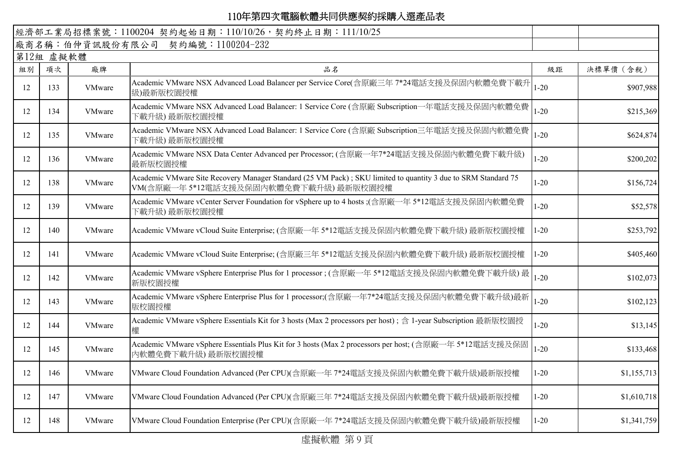|    |           |               | 經濟部工業局招標案號: 1100204 契約起始日期: 110/10/26, 契約終止日期: 111/10/25                                                                                              |          |             |
|----|-----------|---------------|-------------------------------------------------------------------------------------------------------------------------------------------------------|----------|-------------|
|    |           |               | 廠商名稱:伯仲資訊股份有限公司 契約編號:1100204-232                                                                                                                      |          |             |
|    | 第12組 虛擬軟體 |               |                                                                                                                                                       |          |             |
| 組別 | 項次        | 廠牌            | 品名                                                                                                                                                    | 級距       | 決標單價 (含稅)   |
| 12 | 133       | <b>VMware</b> | -<br>Academic VMware NSX Advanced Load Balancer per Service Core(含原廠三年 7*24電話支援及保固内軟體免費下載升 1-20<br>級)最新版校園授權                                          |          | \$907,988   |
| 12 | 134       | <b>VMware</b> | Academic VMware NSX Advanced Load Balancer: 1 Service Core (含原廠 Subscription一年電話支援及保固內軟體免費<br>下載升級) 最新版校園授權                                           | $1 - 20$ | \$215,369   |
| 12 | 135       | <b>VMware</b> | Academic VMware NSX Advanced Load Balancer: 1 Service Core (含原廠 Subscription三年電話支援及保固內軟體免費<br>下載升級) 最新版校園授權                                           | $1 - 20$ | \$624,874   |
| 12 | 136       | <b>VMware</b> | Academic VMware NSX Data Center Advanced per Processor; (含原廠一年7*24電話支援及保固内軟體免費下載升級)<br>最新版校園授權                                                        | $1 - 20$ | \$200,202   |
| 12 | 138       | <b>VMware</b> | Academic VMware Site Recovery Manager Standard (25 VM Pack); SKU limited to quantity 3 due to SRM Standard 75<br>VM(含原廠一年5*12電話支援及保固內軟體免費下載升級)最新版校園授權 | $1 - 20$ | \$156,724   |
| 12 | 139       | VMware        | Academic VMware vCenter Server Foundation for vSphere up to 4 hosts ;(含原廠一年 5*12電話支援及保固內軟體免費<br>下載升級) 最新版校園授權                                         | $1 - 20$ | \$52,578    |
| 12 | 140       | VMware        | Academic VMware vCloud Suite Enterprise; (含原廠一年 5*12電話支援及保固内軟體免費下載升級) 最新版校園授權                                                                         | $1 - 20$ | \$253,792   |
| 12 | 141       | VMware        | Academic VMware vCloud Suite Enterprise; (含原廠三年 5*12電話支援及保固内軟體免費下載升級) 最新版校園授權                                                                         | $1 - 20$ | \$405,460   |
| 12 | 142       | VMware        | Academic VMware vSphere Enterprise Plus for 1 processor ; (含原廠一年 5*12電話支援及保固内軟體免費下載升級) 最<br>新版校園授權                                                    | $1 - 20$ | \$102,073   |
| 12 | 143       | VMware        | Academic VMware vSphere Enterprise Plus for 1 processor;(含原廠一年7*24電話支援及保固内軟體免費下載升級)最新<br>版校園授權                                                        | $1 - 20$ | \$102,123   |
| 12 | 144       | VMware        | Academic VMware vSphere Essentials Kit for 3 hosts (Max 2 processors per host) ; 含 1-year Subscription 最新版校園授<br>權                                    | $1 - 20$ | \$13,145    |
| 12 | 145       | VMware        | Academic VMware vSphere Essentials Plus Kit for 3 hosts (Max 2 processors per host; (含原廠一年 5*12電話支援及保固<br>内軟體免費下載升級)最新版校園授權                           | $1 - 20$ | \$133,468   |
| 12 | 146       | VMware        | VMware Cloud Foundation Advanced (Per CPU)(含原廠一年 7*24電話支援及保固內軟體免費下載升級)最新版授權                                                                           | $1 - 20$ | \$1,155,713 |
| 12 | 147       | VMware        | VMware Cloud Foundation Advanced (Per CPU)(含原廠三年 7*24電話支援及保固内軟體免費下載升級)最新版授權                                                                           | $1 - 20$ | \$1,610,718 |
| 12 | 148       | <b>VMware</b> | VMware Cloud Foundation Enterprise (Per CPU)(含原廠一年7*24電話支援及保固内軟體免費下載升級)最新版授權                                                                          | $1 - 20$ | \$1,341,759 |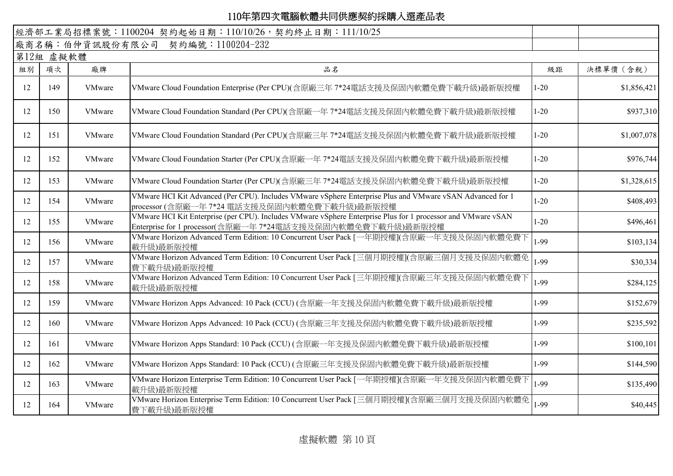|    |           |               | 經濟部工業局招標案號: 1100204 契約起始日期: 110/10/26, 契約終止日期: 111/10/25                                                                                                                    |          |             |
|----|-----------|---------------|-----------------------------------------------------------------------------------------------------------------------------------------------------------------------------|----------|-------------|
|    |           |               | 廠商名稱:伯仲資訊股份有限公司 契約編號:1100204-232                                                                                                                                            |          |             |
|    | 第12組 虛擬軟體 |               |                                                                                                                                                                             |          |             |
| 組別 | 項次        | 廠牌            | 品名                                                                                                                                                                          | 級距       | 決標單價 (含稅)   |
| 12 | 149       | <b>VMware</b> | VMware Cloud Foundation Enterprise (Per CPU)(含原廠三年 7*24電話支援及保固内軟體免費下載升級)最新版授權                                                                                               | $1 - 20$ | \$1,856,421 |
| 12 | 150       | <b>VMware</b> | VMware Cloud Foundation Standard (Per CPU)(含原廠一年 7*24電話支援及保固內軟體免費下載升級)最新版授權                                                                                                 | $1 - 20$ | \$937,310   |
| 12 | 151       | <b>VMware</b> | VMware Cloud Foundation Standard (Per CPU)(含原廠三年 7*24電話支援及保固內軟體免費下載升級)最新版授權                                                                                                 | $1 - 20$ | \$1,007,078 |
| 12 | 152       | <b>VMware</b> | VMware Cloud Foundation Starter (Per CPU)(含原廠一年 7*24電話支援及保固內軟體免費下載升級)最新版授權                                                                                                  | $1 - 20$ | \$976,744   |
| 12 | 153       | <b>VMware</b> | VMware Cloud Foundation Starter (Per CPU)(含原廠三年 7*24電話支援及保固內軟體免費下載升級)最新版授權                                                                                                  | $1 - 20$ | \$1,328,615 |
| 12 | 154       | <b>VMware</b> | VMware HCI Kit Advanced (Per CPU). Includes VMware vSphere Enterprise Plus and VMware vSAN Advanced for 1<br>processor (含原廠一年 7*24 電話支援及保固内軟體免費下載升級)最新版授權                   | $1 - 20$ | \$408,493   |
| 12 | 155       | VMware        | VMware HCI Kit Enterprise (per CPU). Includes VMware vSphere Enterprise Plus for 1 processor and VMware vSAN<br>Enterprise for 1 processor(含原廠一年 7*24電話支援及保固內軟體免費下載升級)最新版授權 | $1 - 20$ | \$496,461   |
| 12 | 156       | <b>VMware</b> | VMware Horizon Advanced Term Edition: 10 Concurrent User Pack [一年期授權](含原廠一年支援及保固内軟體免費下<br>載升級)最新版授權                                                                         | 1-99     | \$103,134   |
| 12 | 157       | VMware        | VMware Horizon Advanced Term Edition: 10 Concurrent User Pack [三個月期授權](含原廠三個月支援及保固內軟體免<br>費下載升級)最新版授權                                                                       | $1-99$   | \$30,334    |
| 12 | 158       | VMware        | VMware Horizon Advanced Term Edition: 10 Concurrent User Pack [三年期授權](含原廠三年支援及保固内軟體免費下<br>載升級)最新版授權                                                                         | 1-99     | \$284,125   |
| 12 | 159       | <b>VMware</b> | VMware Horizon Apps Advanced: 10 Pack (CCU) (含原廠一年支援及保固內軟體免費下載升級)最新版授權                                                                                                      | 1-99     | \$152,679   |
| 12 | 160       | <b>VMware</b> | VMware Horizon Apps Advanced: 10 Pack (CCU) (含原廠三年支援及保固內軟體免費下載升級)最新版授權                                                                                                      | 1-99     | \$235,592   |
| 12 | 161       | VMware        | VMware Horizon Apps Standard: 10 Pack (CCU) (含原廠一年支援及保固內軟體免費下載升級)最新版授權                                                                                                      | 1-99     | \$100,101   |
| 12 | 162       | <b>VMware</b> | VMware Horizon Apps Standard: 10 Pack (CCU) (含原廠三年支援及保固內軟體免費下載升級)最新版授權                                                                                                      | $1-99$   | \$144,590   |
| 12 | 163       | VMware        | VMware Horizon Enterprise Term Edition: 10 Concurrent User Pack [一年期授權](含原廠一年支援及保固内軟體免費下<br>載升級)最新版授權                                                                       | 1-99     | \$135,490   |
| 12 | 164       | VMware        | VMware Horizon Enterprise Term Edition: 10 Concurrent User Pack [三個月期授權](含原廠三個月支援及保固內軟體免<br>費下載升級)最新版授權                                                                     | $1-99$   | \$40,445    |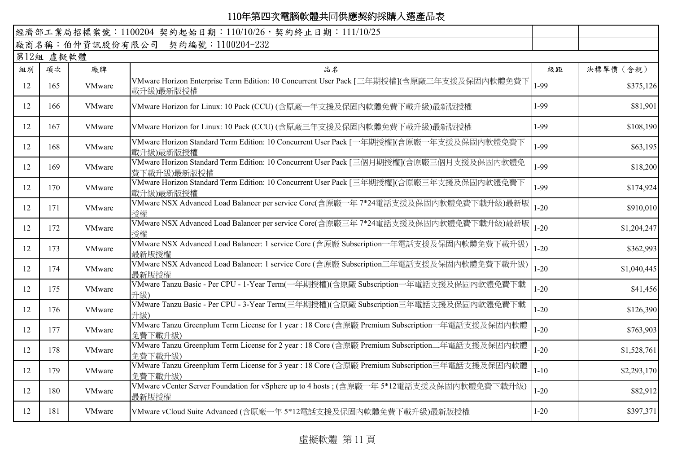|    |           |               | 經濟部工業局招標案號: 1100204 契約起始日期: 110/10/26, 契約終止日期: 111/10/25                                                  |          |             |
|----|-----------|---------------|-----------------------------------------------------------------------------------------------------------|----------|-------------|
|    |           |               | 廠商名稱:伯仲資訊股份有限公司 契約編號:1100204-232                                                                          |          |             |
|    | 第12組 虛擬軟體 |               |                                                                                                           |          |             |
| 組別 | 項次        | 廠牌            | 品名                                                                                                        | 級距       | 決標單價 (含稅)   |
| 12 | 165       | VMware        | VMware Horizon Enterprise Term Edition: 10 Concurrent User Pack [三年期授權](含原廠三年支援及保固内軟體免費下<br>載升級)最新版授權     | 1-99     | \$375,126   |
| 12 | 166       | <b>VMware</b> | VMware Horizon for Linux: 10 Pack (CCU) (含原廠一年支援及保固内軟體免費下載升級)最新版授權                                        | 1-99     | \$81,901    |
| 12 | 167       | VMware        | VMware Horizon for Linux: 10 Pack (CCU) (含原廠三年支援及保固內軟體免費下載升級)最新版授權                                        | 1-99     | \$108,190   |
| 12 | 168       | VMware        | VMware Horizon Standard Term Edition: 10 Concurrent User Pack [一年期授權](含原廠一年支援及保固內軟體免費下<br>載升級)最新版授權       | 1-99     | \$63,195    |
| 12 | 169       | <b>VMware</b> | VMware Horizon Standard Term Edition: 10 Concurrent User Pack [三個月期授權](含原廠三個月支援及保固内軟體免<br>費下載升級)最新版授權     | 1-99     | \$18,200    |
| 12 | 170       | VMware        | VMware Horizon Standard Term Edition: 10 Concurrent User Pack [三年期授權](含原廠三年支援及保固内軟體免費下<br>載升級)最新版授權       | 1-99     | \$174,924   |
| 12 | 171       | VMware        | VMware NSX Advanced Load Balancer per service Core(含原廠一年 7*24電話支援及保固内軟體免費下載升級)最新版<br>授權                   | $1 - 20$ | \$910,010   |
| 12 | 172       | <b>VMware</b> | VMware NSX Advanced Load Balancer per service Core(含原廠三年 7*24電話支援及保固内軟體免費下載升級)最新版<br>授權                   | $1 - 20$ | \$1,204,247 |
| 12 | 173       | VMware        | VMware NSX Advanced Load Balancer: 1 service Core (含原廠 Subscription一年電話支援及保固内軟體免費下載升級)<br>最新版授權           | $1 - 20$ | \$362,993   |
| 12 | 174       | VMware        | VMware NSX Advanced Load Balancer: 1 service Core (含原廠 Subscription三年電話支援及保固内軟體免費下載升級)<br>最新版授權           | $1 - 20$ | \$1,040,445 |
| 12 | 175       | VMware        | VMware Tanzu Basic - Per CPU - 1-Year Term(一年期授權)(含原廠 Subscription一年電話支援及保固内軟體免費下載<br>升級)                 | $1 - 20$ | \$41,456    |
| 12 | 176       | <b>VMware</b> | VMware Tanzu Basic - Per CPU - 3-Year Term(三年期授權)(含原廠 Subscription三年電話支援及保固内軟體免費下載<br>升級)                 | $1 - 20$ | \$126,390   |
| 12 | 177       | VMware        | VMware Tanzu Greenplum Term License for 1 year : 18 Core (含原廠 Premium Subscription一年電話支援及保固内軟體<br>免費下載升級) | $1 - 20$ | \$763,903   |
| 12 | 178       | VMware        | VMware Tanzu Greenplum Term License for 2 year : 18 Core (含原廠 Premium Subscription二年電話支援及保固内軟體<br>免費下載升級) | $1 - 20$ | \$1,528,761 |
| 12 | 179       | <b>VMware</b> | VMware Tanzu Greenplum Term License for 3 year : 18 Core (含原廠 Premium Subscription三年電話支援及保固内軟體<br>免費下載升級) | $1 - 10$ | \$2,293,170 |
| 12 | 180       | VMware        | VMware vCenter Server Foundation for vSphere up to 4 hosts; (含原廠一年 5*12電話支援及保固内軟體免費下載升級)<br>最新版授權         | $1 - 20$ | \$82,912    |
| 12 | 181       | <b>VMware</b> | VMware vCloud Suite Advanced (含原廠一年 5*12電話支援及保固内軟體免費下載升級)最新版授權                                            | $1 - 20$ | \$397,371   |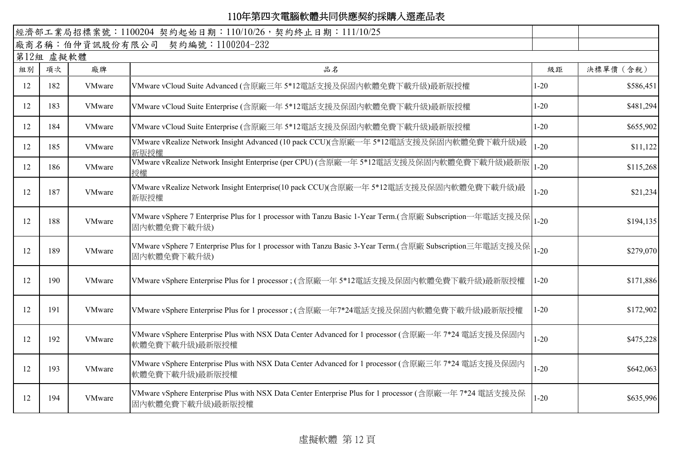|    |           |               | 經濟部工業局招標案號: 1100204 契約起始日期: 110/10/26, 契約終止日期: 111/10/25                                                                     |          |           |  |  |  |  |
|----|-----------|---------------|------------------------------------------------------------------------------------------------------------------------------|----------|-----------|--|--|--|--|
|    |           |               | 廠商名稱:伯仲資訊股份有限公司 契約編號:1100204-232                                                                                             |          |           |  |  |  |  |
|    | 第12組 虛擬軟體 |               |                                                                                                                              |          |           |  |  |  |  |
| 組別 | 項次        | 廠牌            | 品名                                                                                                                           | 級距       | 決標單價 (含稅) |  |  |  |  |
| 12 | 182       | <b>VMware</b> | VMware vCloud Suite Advanced (含原廠三年 5*12電話支援及保固内軟體免費下載升級)最新版授權                                                               | $1 - 20$ | \$586,451 |  |  |  |  |
| 12 | 183       | VMware        | VMware vCloud Suite Enterprise (含原廠一年 5*12電話支援及保固内軟體免費下載升級)最新版授權                                                             | $1 - 20$ | \$481,294 |  |  |  |  |
| 12 | 184       | <b>VMware</b> | VMware vCloud Suite Enterprise (含原廠三年 5*12電話支援及保固内軟體免費下載升級)最新版授權                                                             | $1 - 20$ | \$655,902 |  |  |  |  |
| 12 | 185       | VMware        | VMware vRealize Network Insight Advanced (10 pack CCU)(含原廠一年 5*12電話支援及保固内軟體免費下載升級)最<br>新版授權                                  | $1 - 20$ | \$11,122  |  |  |  |  |
| 12 | 186       | VMware        | VMware vRealize Network Insight Enterprise (per CPU) (含原廠一年 5*12電話支援及保固内軟體免費下載升級)最新版<br>授權                                   | $1 - 20$ | \$115,268 |  |  |  |  |
| 12 | 187       | VMware        | VMware vRealize Network Insight Enterprise(10 pack CCU)(含原廠一年 5*12電話支援及保固内軟體免費下載升級)最<br>新版授權                                 | $1 - 20$ | \$21,234  |  |  |  |  |
| 12 | 188       | VMware        | VMware vSphere 7 Enterprise Plus for 1 processor with Tanzu Basic 1-Year Term.(含原廠 Subscription一年電話支援及保<br>固内軟體免費下載升級)       | $1 - 20$ | \$194,135 |  |  |  |  |
| 12 | 189       | VMware        | VMware vSphere 7 Enterprise Plus for 1 processor with Tanzu Basic 3-Year Term.(含原廠 Subscription三年電話支援及保  1-20<br>固内軟體免費下載升級) |          | \$279,070 |  |  |  |  |
| 12 | 190       | VMware        | VMware vSphere Enterprise Plus for 1 processor ; (含原廠一年 5*12電話支援及保固内軟體免費下載升級)最新版授權                                           | $1 - 20$ | \$171,886 |  |  |  |  |
| 12 | 191       | VMware        | VMware vSphere Enterprise Plus for 1 processor ; (含原廠一年7*24電話支援及保固內軟體免費下載升級)最新版授權                                            | $1 - 20$ | \$172,902 |  |  |  |  |
| 12 | 192       | VMware        | VMware vSphere Enterprise Plus with NSX Data Center Advanced for 1 processor (含原廠一年 7*24 電話支援及保固內<br>軟體免費下載升級)最新版授權          | $1 - 20$ | \$475,228 |  |  |  |  |
| 12 | 193       | VMware        | VMware vSphere Enterprise Plus with NSX Data Center Advanced for 1 processor (含原廠三年 7*24 電話支援及保固內<br>軟體免費下載升級)最新版授權          | $1 - 20$ | \$642,063 |  |  |  |  |
| 12 | 194       | VMware        | VMware vSphere Enterprise Plus with NSX Data Center Enterprise Plus for 1 processor (含原廠一年 7*24 電話支援及保<br>固内軟體免費下載升級)最新版授權   | $1 - 20$ | \$635,996 |  |  |  |  |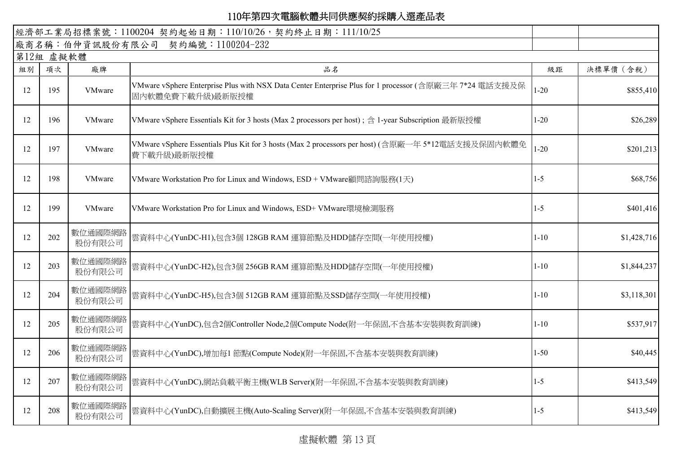| 經濟部工業局招標案號: 1100204 契約起始日期: 110/10/26, 契約終止日期: 111/10/25 |     |                   |                                                                                                                            |          |             |  |  |  |  |  |
|----------------------------------------------------------|-----|-------------------|----------------------------------------------------------------------------------------------------------------------------|----------|-------------|--|--|--|--|--|
| 廠商名稱:伯仲資訊股份有限公司 契約編號:1100204-232                         |     |                   |                                                                                                                            |          |             |  |  |  |  |  |
| 第12組 虛擬軟體                                                |     |                   |                                                                                                                            |          |             |  |  |  |  |  |
| 組別                                                       | 項次  | 廠牌                | 品名                                                                                                                         | 級距       | 決標單價 (含稅)   |  |  |  |  |  |
| 12                                                       | 195 | VMware            | VMware vSphere Enterprise Plus with NSX Data Center Enterprise Plus for 1 processor (含原廠三年 7*24 電話支援及保<br>固内軟體免費下載升級)最新版授權 | $1 - 20$ | \$855,410   |  |  |  |  |  |
| 12                                                       | 196 | VMware            | VMware vSphere Essentials Kit for 3 hosts (Max 2 processors per host); 含 1-year Subscription 最新版授權                         | $1 - 20$ | \$26,289    |  |  |  |  |  |
| 12                                                       | 197 | VMware            | VMware vSphere Essentials Plus Kit for 3 hosts (Max 2 processors per host) (含原廠一年 5*12電話支援及保固內軟體免<br>費下載升級)最新版授權           | $1 - 20$ | \$201,213   |  |  |  |  |  |
| 12                                                       | 198 | VMware            | VMware Workstation Pro for Linux and Windows, ESD + VMware顧問諮詢服務(1天)                                                       | $1 - 5$  | \$68,756    |  |  |  |  |  |
| 12                                                       | 199 | VMware            | VMware Workstation Pro for Linux and Windows, ESD+ VMware環境檢測服務                                                            | $1 - 5$  | \$401,416   |  |  |  |  |  |
| 12                                                       | 202 | 數位通國際網路<br>股份有限公司 | 雲資料中心(YunDC-H1),包含3個 128GB RAM 運算節點及HDD儲存空間(一年使用授權)                                                                        | $1 - 10$ | \$1,428,716 |  |  |  |  |  |
| 12                                                       | 203 | 數位通國際網路<br>股份有限公司 | 雲資料中心(YunDC-H2),包含3個 256GB RAM 運算節點及HDD儲存空間(一年使用授權)                                                                        | $1 - 10$ | \$1,844,237 |  |  |  |  |  |
| 12                                                       | 204 | 數位通國際網路<br>股份有限公司 | 雲資料中心(YunDC-H5),包含3個 512GB RAM 運算節點及SSD儲存空間(一年使用授權)                                                                        | $1 - 10$ | \$3,118,301 |  |  |  |  |  |
| 12                                                       | 205 | 數位通國際網路<br>股份有限公司 | 雲資料中心(YunDC),包含2個Controller Node,2個Compute Node(附一年保固,不含基本安裝與教育訓練)                                                         | $1 - 10$ | \$537,917   |  |  |  |  |  |
| 12                                                       | 206 | 數位通國際網路<br>股份有限公司 | 雲資料中心(YunDC),增加每1 節點(Compute Node)(附一年保固,不含基本安裝與教育訓練)                                                                      | $1 - 50$ | \$40,445    |  |  |  |  |  |
| 12                                                       | 207 | 數位通國際網路<br>股份有限公司 | 雲資料中心(YunDC),網站負載平衡主機(WLB Server)(附一年保固,不含基本安裝與教育訓練)                                                                       | $1 - 5$  | \$413,549   |  |  |  |  |  |
| 12                                                       | 208 | 數位通國際網路<br>股份有限公司 | 雲資料中心(YunDC),自動擴展主機(Auto-Scaling Server)(附一年保固,不含基本安裝與教育訓練)                                                                | $1 - 5$  | \$413,549   |  |  |  |  |  |

虛擬軟體 第 13 頁